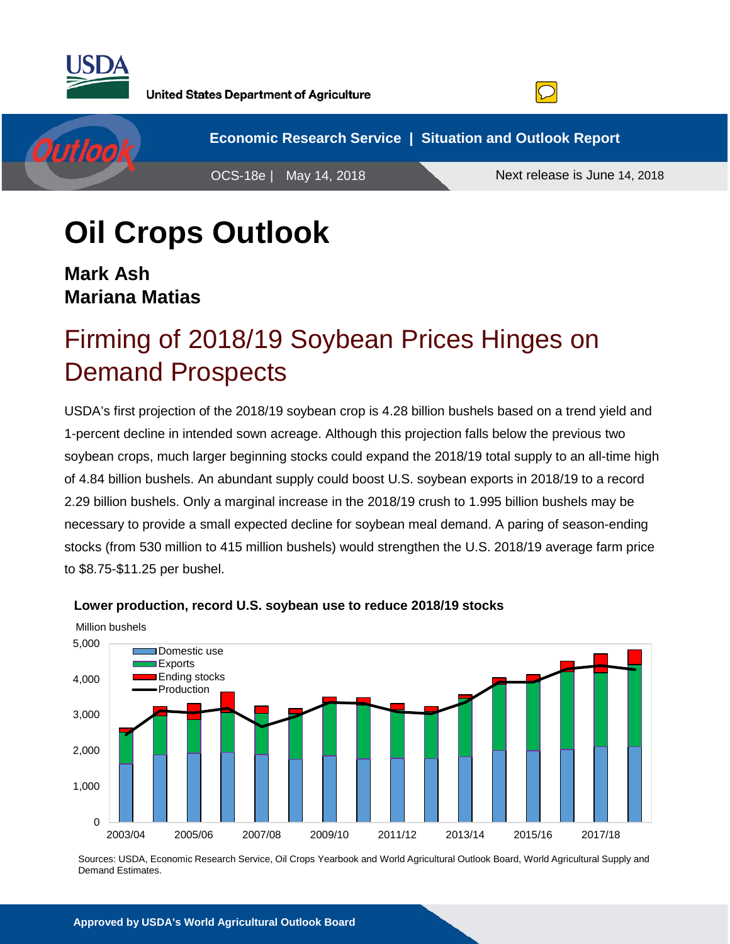

Outloo

**United States Department of Agriculture** 



**Economic Research Service | Situation and Outlook Report** OCS-18e | May 14, 2018 Next release is June 14, 2018

# **Oil Crops Outlook**

**Mark Ash Mariana Matias**

# Firming of 2018/19 Soybean Prices Hinges on Demand Prospects

USDA's first projection of the 2018/19 soybean crop is 4.28 billion bushels based on a trend yield and 1-percent decline in intended sown acreage. Although this projection falls below the previous two soybean crops, much larger beginning stocks could expand the 2018/19 total supply to an all-time high of 4.84 billion bushels. An abundant supply could boost U.S. soybean exports in 2018/19 to a record 2.29 billion bushels. Only a marginal increase in the 2018/19 crush to 1.995 billion bushels may be necessary to provide a small expected decline for soybean meal demand. A paring of season-ending stocks (from 530 million to 415 million bushels) would strengthen the U.S. 2018/19 average farm price to \$8.75-\$11.25 per bushel.



#### **Lower production, record U.S. soybean use to reduce 2018/19 stocks**

Sources: USDA, Economic Research Service, Oil Crops Yearbook and World Agricultural Outlook Board, World Agricultural Supply and Demand Estimates.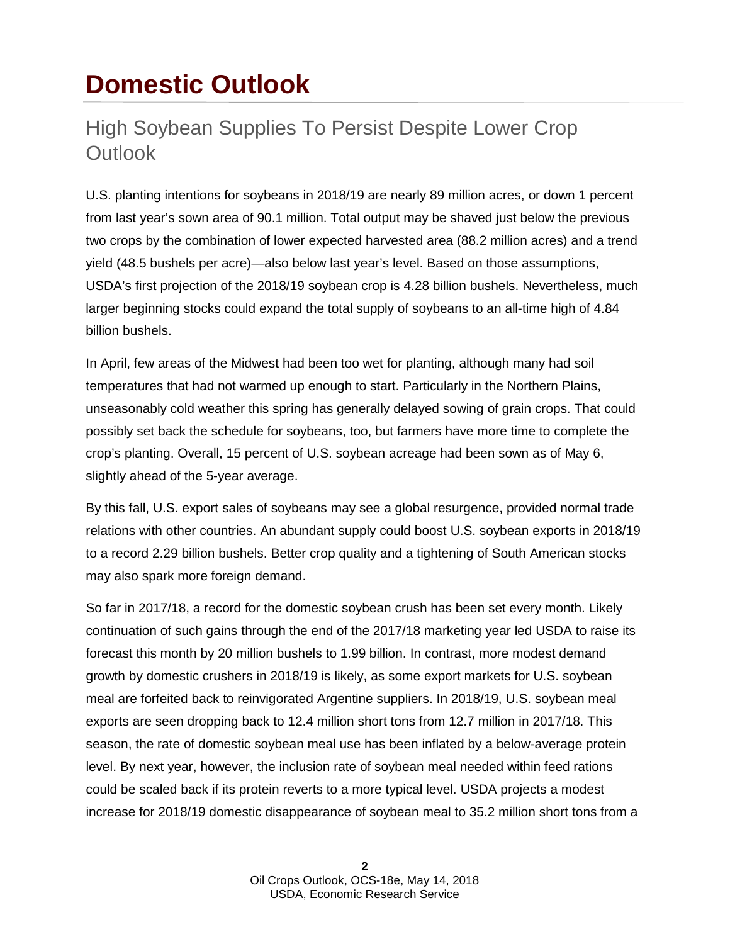# **Domestic Outlook**

## High Soybean Supplies To Persist Despite Lower Crop **Outlook**

U.S. planting intentions for soybeans in 2018/19 are nearly 89 million acres, or down 1 percent from last year's sown area of 90.1 million. Total output may be shaved just below the previous two crops by the combination of lower expected harvested area (88.2 million acres) and a trend yield (48.5 bushels per acre)—also below last year's level. Based on those assumptions, USDA's first projection of the 2018/19 soybean crop is 4.28 billion bushels. Nevertheless, much larger beginning stocks could expand the total supply of soybeans to an all-time high of 4.84 billion bushels.

In April, few areas of the Midwest had been too wet for planting, although many had soil temperatures that had not warmed up enough to start. Particularly in the Northern Plains, unseasonably cold weather this spring has generally delayed sowing of grain crops. That could possibly set back the schedule for soybeans, too, but farmers have more time to complete the crop's planting. Overall, 15 percent of U.S. soybean acreage had been sown as of May 6, slightly ahead of the 5-year average.

By this fall, U.S. export sales of soybeans may see a global resurgence, provided normal trade relations with other countries. An abundant supply could boost U.S. soybean exports in 2018/19 to a record 2.29 billion bushels. Better crop quality and a tightening of South American stocks may also spark more foreign demand.

So far in 2017/18, a record for the domestic soybean crush has been set every month. Likely continuation of such gains through the end of the 2017/18 marketing year led USDA to raise its forecast this month by 20 million bushels to 1.99 billion. In contrast, more modest demand growth by domestic crushers in 2018/19 is likely, as some export markets for U.S. soybean meal are forfeited back to reinvigorated Argentine suppliers. In 2018/19, U.S. soybean meal exports are seen dropping back to 12.4 million short tons from 12.7 million in 2017/18. This season, the rate of domestic soybean meal use has been inflated by a below-average protein level. By next year, however, the inclusion rate of soybean meal needed within feed rations could be scaled back if its protein reverts to a more typical level. USDA projects a modest increase for 2018/19 domestic disappearance of soybean meal to 35.2 million short tons from a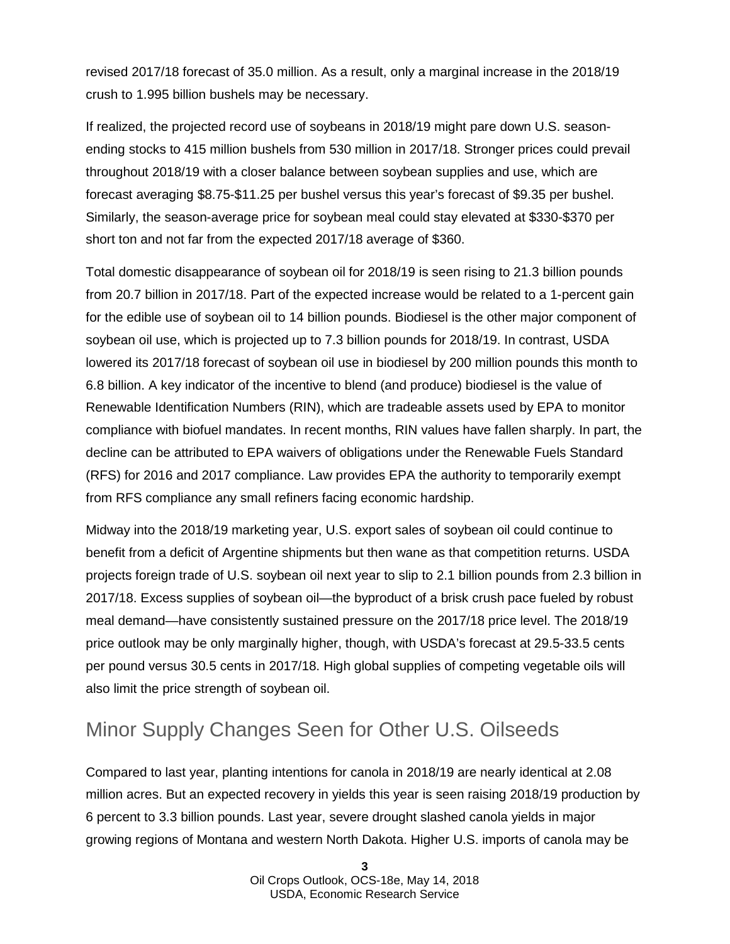revised 2017/18 forecast of 35.0 million. As a result, only a marginal increase in the 2018/19 crush to 1.995 billion bushels may be necessary.

If realized, the projected record use of soybeans in 2018/19 might pare down U.S. seasonending stocks to 415 million bushels from 530 million in 2017/18. Stronger prices could prevail throughout 2018/19 with a closer balance between soybean supplies and use, which are forecast averaging \$8.75-\$11.25 per bushel versus this year's forecast of \$9.35 per bushel. Similarly, the season-average price for soybean meal could stay elevated at \$330-\$370 per short ton and not far from the expected 2017/18 average of \$360.

Total domestic disappearance of soybean oil for 2018/19 is seen rising to 21.3 billion pounds from 20.7 billion in 2017/18. Part of the expected increase would be related to a 1-percent gain for the edible use of soybean oil to 14 billion pounds. Biodiesel is the other major component of soybean oil use, which is projected up to 7.3 billion pounds for 2018/19. In contrast, USDA lowered its 2017/18 forecast of soybean oil use in biodiesel by 200 million pounds this month to 6.8 billion. A key indicator of the incentive to blend (and produce) biodiesel is the value of Renewable Identification Numbers (RIN), which are tradeable assets used by EPA to monitor compliance with biofuel mandates. In recent months, RIN values have fallen sharply. In part, the decline can be attributed to EPA waivers of obligations under the Renewable Fuels Standard (RFS) for 2016 and 2017 compliance. Law provides EPA the authority to temporarily exempt from RFS compliance any small refiners facing economic hardship.

Midway into the 2018/19 marketing year, U.S. export sales of soybean oil could continue to benefit from a deficit of Argentine shipments but then wane as that competition returns. USDA projects foreign trade of U.S. soybean oil next year to slip to 2.1 billion pounds from 2.3 billion in 2017/18. Excess supplies of soybean oil—the byproduct of a brisk crush pace fueled by robust meal demand—have consistently sustained pressure on the 2017/18 price level. The 2018/19 price outlook may be only marginally higher, though, with USDA's forecast at 29.5-33.5 cents per pound versus 30.5 cents in 2017/18. High global supplies of competing vegetable oils will also limit the price strength of soybean oil.

### Minor Supply Changes Seen for Other U.S. Oilseeds

Compared to last year, planting intentions for canola in 2018/19 are nearly identical at 2.08 million acres. But an expected recovery in yields this year is seen raising 2018/19 production by 6 percent to 3.3 billion pounds. Last year, severe drought slashed canola yields in major growing regions of Montana and western North Dakota. Higher U.S. imports of canola may be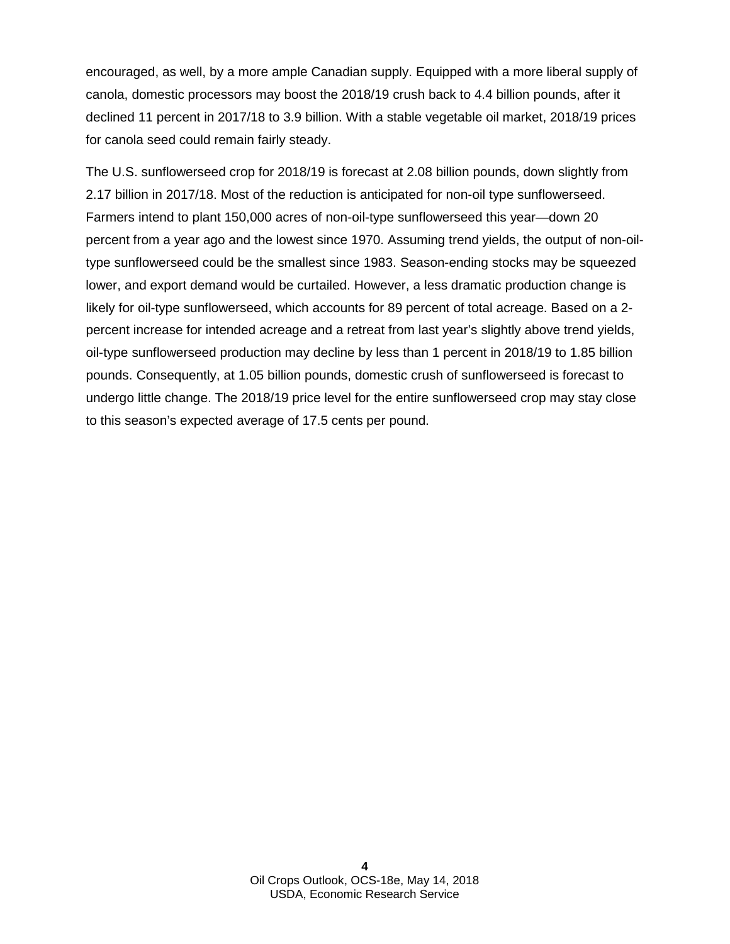encouraged, as well, by a more ample Canadian supply. Equipped with a more liberal supply of canola, domestic processors may boost the 2018/19 crush back to 4.4 billion pounds, after it declined 11 percent in 2017/18 to 3.9 billion. With a stable vegetable oil market, 2018/19 prices for canola seed could remain fairly steady.

The U.S. sunflowerseed crop for 2018/19 is forecast at 2.08 billion pounds, down slightly from 2.17 billion in 2017/18. Most of the reduction is anticipated for non-oil type sunflowerseed. Farmers intend to plant 150,000 acres of non-oil-type sunflowerseed this year—down 20 percent from a year ago and the lowest since 1970. Assuming trend yields, the output of non-oiltype sunflowerseed could be the smallest since 1983. Season-ending stocks may be squeezed lower, and export demand would be curtailed. However, a less dramatic production change is likely for oil-type sunflowerseed, which accounts for 89 percent of total acreage. Based on a 2 percent increase for intended acreage and a retreat from last year's slightly above trend yields, oil-type sunflowerseed production may decline by less than 1 percent in 2018/19 to 1.85 billion pounds. Consequently, at 1.05 billion pounds, domestic crush of sunflowerseed is forecast to undergo little change. The 2018/19 price level for the entire sunflowerseed crop may stay close to this season's expected average of 17.5 cents per pound.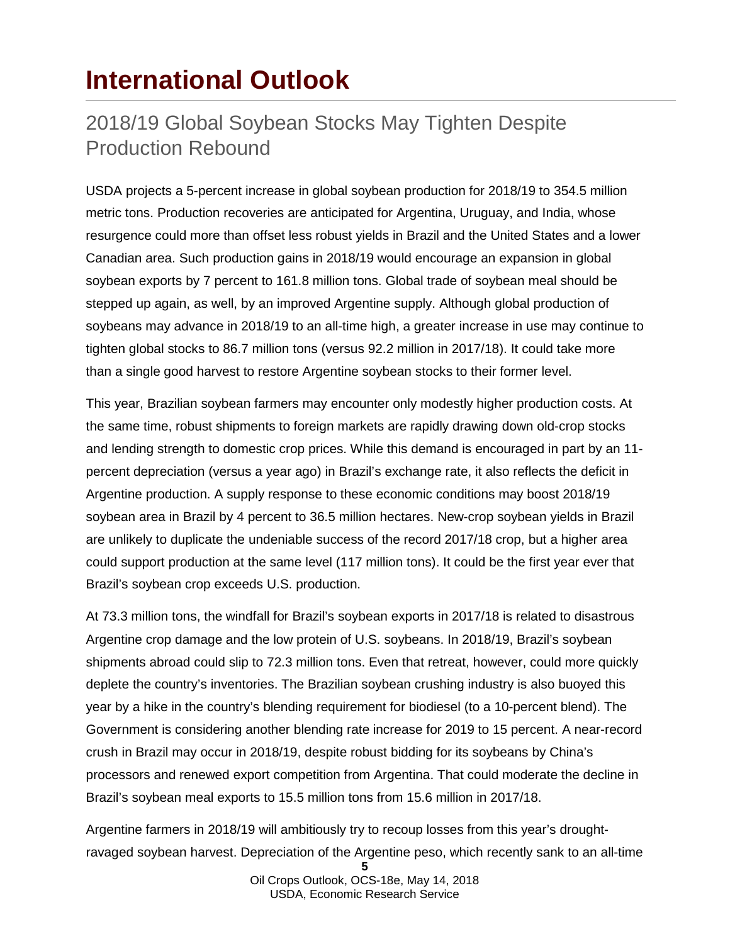## **International Outlook**

### 2018/19 Global Soybean Stocks May Tighten Despite Production Rebound

USDA projects a 5-percent increase in global soybean production for 2018/19 to 354.5 million metric tons. Production recoveries are anticipated for Argentina, Uruguay, and India, whose resurgence could more than offset less robust yields in Brazil and the United States and a lower Canadian area. Such production gains in 2018/19 would encourage an expansion in global soybean exports by 7 percent to 161.8 million tons. Global trade of soybean meal should be stepped up again, as well, by an improved Argentine supply. Although global production of soybeans may advance in 2018/19 to an all-time high, a greater increase in use may continue to tighten global stocks to 86.7 million tons (versus 92.2 million in 2017/18). It could take more than a single good harvest to restore Argentine soybean stocks to their former level.

This year, Brazilian soybean farmers may encounter only modestly higher production costs. At the same time, robust shipments to foreign markets are rapidly drawing down old-crop stocks and lending strength to domestic crop prices. While this demand is encouraged in part by an 11 percent depreciation (versus a year ago) in Brazil's exchange rate, it also reflects the deficit in Argentine production. A supply response to these economic conditions may boost 2018/19 soybean area in Brazil by 4 percent to 36.5 million hectares. New-crop soybean yields in Brazil are unlikely to duplicate the undeniable success of the record 2017/18 crop, but a higher area could support production at the same level (117 million tons). It could be the first year ever that Brazil's soybean crop exceeds U.S. production.

At 73.3 million tons, the windfall for Brazil's soybean exports in 2017/18 is related to disastrous Argentine crop damage and the low protein of U.S. soybeans. In 2018/19, Brazil's soybean shipments abroad could slip to 72.3 million tons. Even that retreat, however, could more quickly deplete the country's inventories. The Brazilian soybean crushing industry is also buoyed this year by a hike in the country's blending requirement for biodiesel (to a 10-percent blend). The Government is considering another blending rate increase for 2019 to 15 percent. A near-record crush in Brazil may occur in 2018/19, despite robust bidding for its soybeans by China's processors and renewed export competition from Argentina. That could moderate the decline in Brazil's soybean meal exports to 15.5 million tons from 15.6 million in 2017/18.

Argentine farmers in 2018/19 will ambitiously try to recoup losses from this year's droughtravaged soybean harvest. Depreciation of the Argentine peso, which recently sank to an all-time

**<sup>5</sup>** Oil Crops Outlook, OCS-18e, May 14, 2018 USDA, Economic Research Service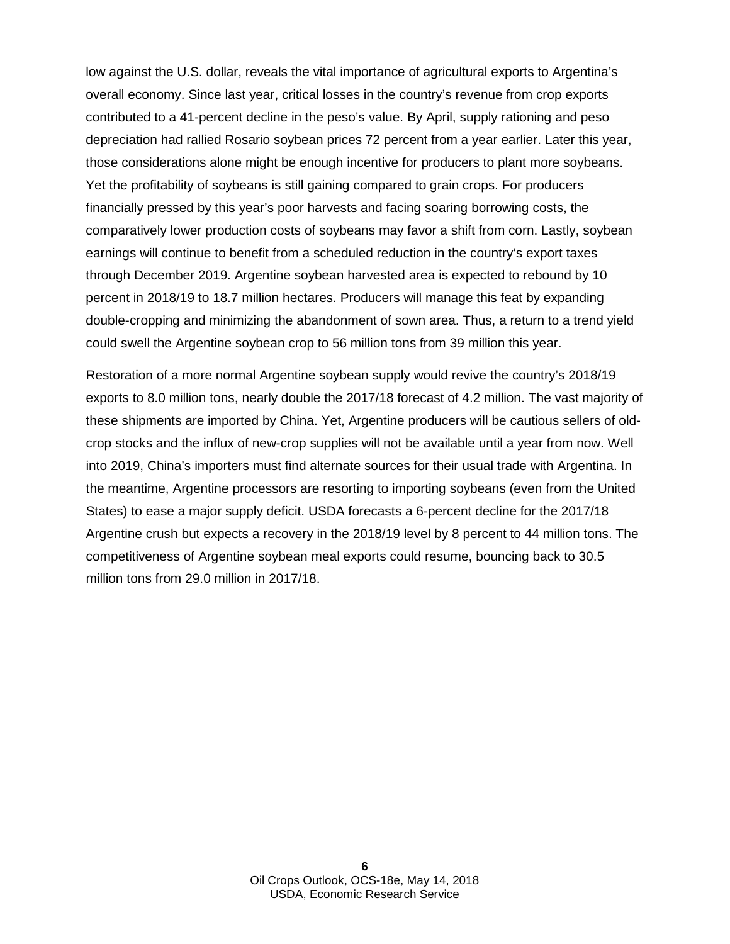low against the U.S. dollar, reveals the vital importance of agricultural exports to Argentina's overall economy. Since last year, critical losses in the country's revenue from crop exports contributed to a 41-percent decline in the peso's value. By April, supply rationing and peso depreciation had rallied Rosario soybean prices 72 percent from a year earlier. Later this year, those considerations alone might be enough incentive for producers to plant more soybeans. Yet the profitability of soybeans is still gaining compared to grain crops. For producers financially pressed by this year's poor harvests and facing soaring borrowing costs, the comparatively lower production costs of soybeans may favor a shift from corn. Lastly, soybean earnings will continue to benefit from a scheduled reduction in the country's export taxes through December 2019. Argentine soybean harvested area is expected to rebound by 10 percent in 2018/19 to 18.7 million hectares. Producers will manage this feat by expanding double-cropping and minimizing the abandonment of sown area. Thus, a return to a trend yield could swell the Argentine soybean crop to 56 million tons from 39 million this year.

Restoration of a more normal Argentine soybean supply would revive the country's 2018/19 exports to 8.0 million tons, nearly double the 2017/18 forecast of 4.2 million. The vast majority of these shipments are imported by China. Yet, Argentine producers will be cautious sellers of oldcrop stocks and the influx of new-crop supplies will not be available until a year from now. Well into 2019, China's importers must find alternate sources for their usual trade with Argentina. In the meantime, Argentine processors are resorting to importing soybeans (even from the United States) to ease a major supply deficit. USDA forecasts a 6-percent decline for the 2017/18 Argentine crush but expects a recovery in the 2018/19 level by 8 percent to 44 million tons. The competitiveness of Argentine soybean meal exports could resume, bouncing back to 30.5 million tons from 29.0 million in 2017/18.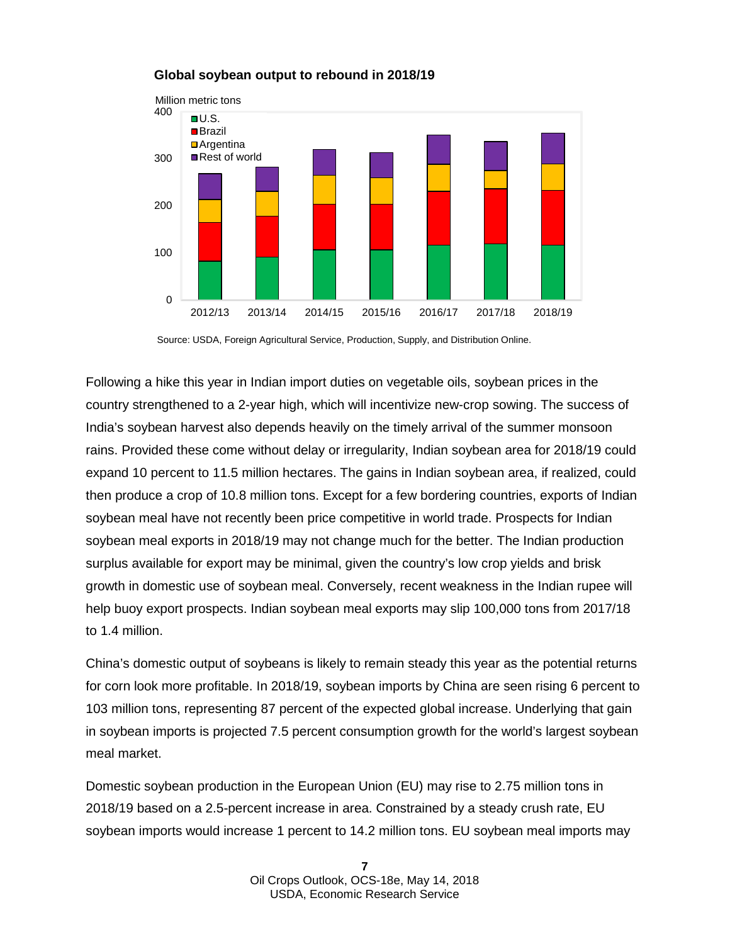

#### **Global soybean output to rebound in 2018/19**

Following a hike this year in Indian import duties on vegetable oils, soybean prices in the country strengthened to a 2-year high, which will incentivize new-crop sowing. The success of India's soybean harvest also depends heavily on the timely arrival of the summer monsoon rains. Provided these come without delay or irregularity, Indian soybean area for 2018/19 could expand 10 percent to 11.5 million hectares. The gains in Indian soybean area, if realized, could then produce a crop of 10.8 million tons. Except for a few bordering countries, exports of Indian soybean meal have not recently been price competitive in world trade. Prospects for Indian soybean meal exports in 2018/19 may not change much for the better. The Indian production surplus available for export may be minimal, given the country's low crop yields and brisk growth in domestic use of soybean meal. Conversely, recent weakness in the Indian rupee will help buoy export prospects. Indian soybean meal exports may slip 100,000 tons from 2017/18 to 1.4 million.

China's domestic output of soybeans is likely to remain steady this year as the potential returns for corn look more profitable. In 2018/19, soybean imports by China are seen rising 6 percent to 103 million tons, representing 87 percent of the expected global increase. Underlying that gain in soybean imports is projected 7.5 percent consumption growth for the world's largest soybean meal market.

Domestic soybean production in the European Union (EU) may rise to 2.75 million tons in 2018/19 based on a 2.5-percent increase in area. Constrained by a steady crush rate, EU soybean imports would increase 1 percent to 14.2 million tons. EU soybean meal imports may

Source: USDA, Foreign Agricultural Service, Production, Supply, and Distribution Online.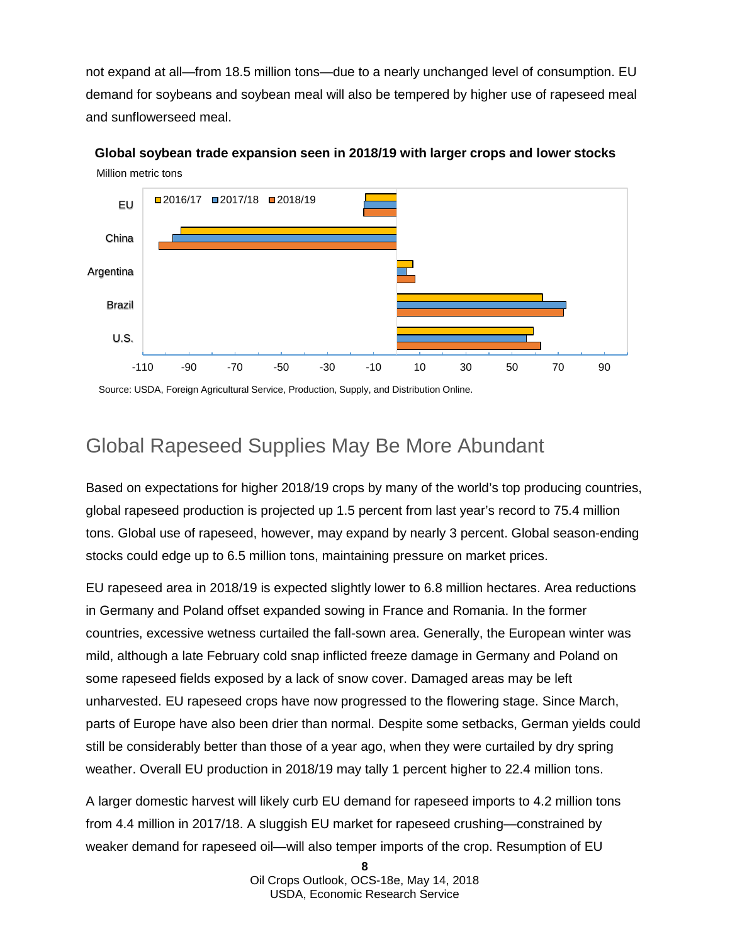not expand at all—from 18.5 million tons—due to a nearly unchanged level of consumption. EU demand for soybeans and soybean meal will also be tempered by higher use of rapeseed meal and sunflowerseed meal.



Million metric tons **Global soybean trade expansion seen in 2018/19 with larger crops and lower stocks**

Source: USDA, Foreign Agricultural Service, Production, Supply, and Distribution Online.

## Global Rapeseed Supplies May Be More Abundant

Based on expectations for higher 2018/19 crops by many of the world's top producing countries, global rapeseed production is projected up 1.5 percent from last year's record to 75.4 million tons. Global use of rapeseed, however, may expand by nearly 3 percent. Global season-ending stocks could edge up to 6.5 million tons, maintaining pressure on market prices.

EU rapeseed area in 2018/19 is expected slightly lower to 6.8 million hectares. Area reductions in Germany and Poland offset expanded sowing in France and Romania. In the former countries, excessive wetness curtailed the fall-sown area. Generally, the European winter was mild, although a late February cold snap inflicted freeze damage in Germany and Poland on some rapeseed fields exposed by a lack of snow cover. Damaged areas may be left unharvested. EU rapeseed crops have now progressed to the flowering stage. Since March, parts of Europe have also been drier than normal. Despite some setbacks, German yields could still be considerably better than those of a year ago, when they were curtailed by dry spring weather. Overall EU production in 2018/19 may tally 1 percent higher to 22.4 million tons.

A larger domestic harvest will likely curb EU demand for rapeseed imports to 4.2 million tons from 4.4 million in 2017/18. A sluggish EU market for rapeseed crushing—constrained by weaker demand for rapeseed oil—will also temper imports of the crop. Resumption of EU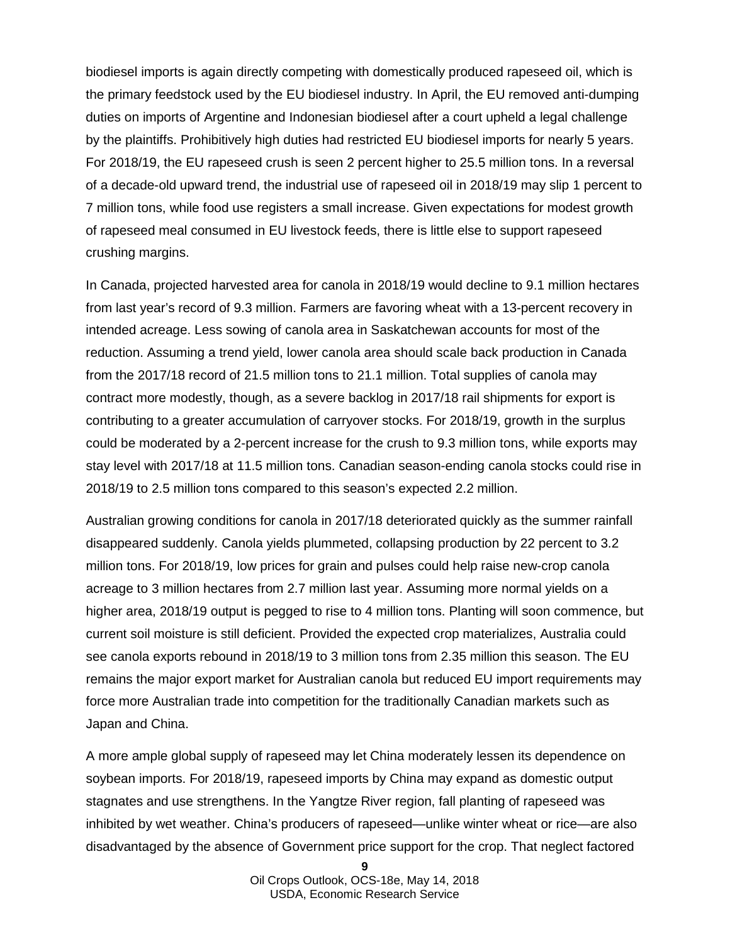biodiesel imports is again directly competing with domestically produced rapeseed oil, which is the primary feedstock used by the EU biodiesel industry. In April, the EU removed anti-dumping duties on imports of Argentine and Indonesian biodiesel after a court upheld a legal challenge by the plaintiffs. Prohibitively high duties had restricted EU biodiesel imports for nearly 5 years. For 2018/19, the EU rapeseed crush is seen 2 percent higher to 25.5 million tons. In a reversal of a decade-old upward trend, the industrial use of rapeseed oil in 2018/19 may slip 1 percent to 7 million tons, while food use registers a small increase. Given expectations for modest growth of rapeseed meal consumed in EU livestock feeds, there is little else to support rapeseed crushing margins.

In Canada, projected harvested area for canola in 2018/19 would decline to 9.1 million hectares from last year's record of 9.3 million. Farmers are favoring wheat with a 13-percent recovery in intended acreage. Less sowing of canola area in Saskatchewan accounts for most of the reduction. Assuming a trend yield, lower canola area should scale back production in Canada from the 2017/18 record of 21.5 million tons to 21.1 million. Total supplies of canola may contract more modestly, though, as a severe backlog in 2017/18 rail shipments for export is contributing to a greater accumulation of carryover stocks. For 2018/19, growth in the surplus could be moderated by a 2-percent increase for the crush to 9.3 million tons, while exports may stay level with 2017/18 at 11.5 million tons. Canadian season-ending canola stocks could rise in 2018/19 to 2.5 million tons compared to this season's expected 2.2 million.

Australian growing conditions for canola in 2017/18 deteriorated quickly as the summer rainfall disappeared suddenly. Canola yields plummeted, collapsing production by 22 percent to 3.2 million tons. For 2018/19, low prices for grain and pulses could help raise new-crop canola acreage to 3 million hectares from 2.7 million last year. Assuming more normal yields on a higher area, 2018/19 output is pegged to rise to 4 million tons. Planting will soon commence, but current soil moisture is still deficient. Provided the expected crop materializes, Australia could see canola exports rebound in 2018/19 to 3 million tons from 2.35 million this season. The EU remains the major export market for Australian canola but reduced EU import requirements may force more Australian trade into competition for the traditionally Canadian markets such as Japan and China.

A more ample global supply of rapeseed may let China moderately lessen its dependence on soybean imports. For 2018/19, rapeseed imports by China may expand as domestic output stagnates and use strengthens. In the Yangtze River region, fall planting of rapeseed was inhibited by wet weather. China's producers of rapeseed—unlike winter wheat or rice—are also disadvantaged by the absence of Government price support for the crop. That neglect factored

**<sup>9</sup>**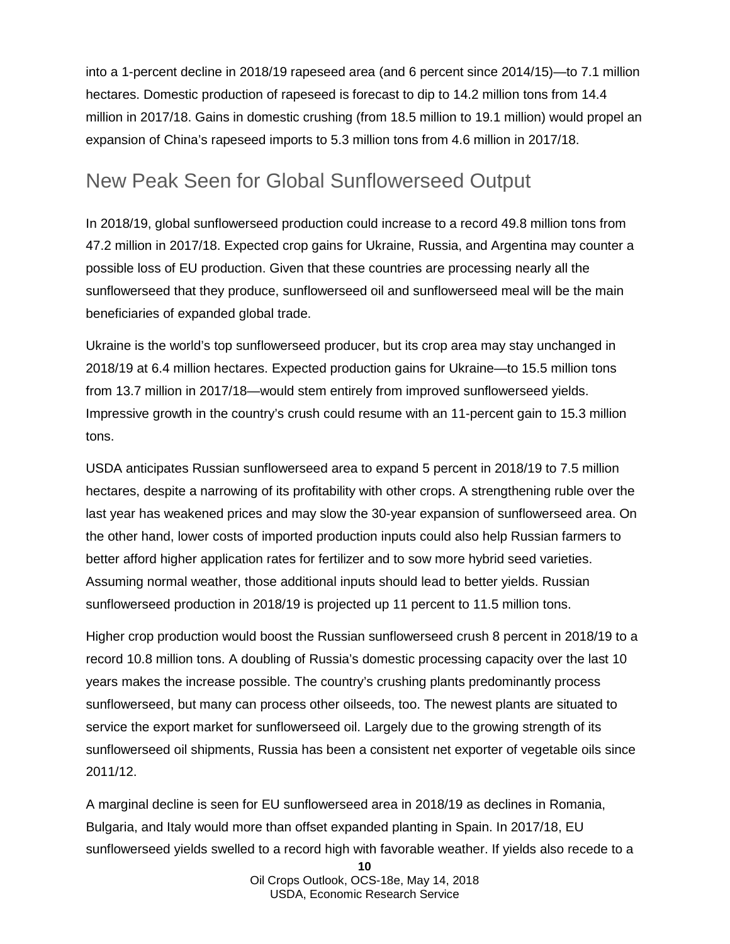into a 1-percent decline in 2018/19 rapeseed area (and 6 percent since 2014/15)—to 7.1 million hectares. Domestic production of rapeseed is forecast to dip to 14.2 million tons from 14.4 million in 2017/18. Gains in domestic crushing (from 18.5 million to 19.1 million) would propel an expansion of China's rapeseed imports to 5.3 million tons from 4.6 million in 2017/18.

### New Peak Seen for Global Sunflowerseed Output

In 2018/19, global sunflowerseed production could increase to a record 49.8 million tons from 47.2 million in 2017/18. Expected crop gains for Ukraine, Russia, and Argentina may counter a possible loss of EU production. Given that these countries are processing nearly all the sunflowerseed that they produce, sunflowerseed oil and sunflowerseed meal will be the main beneficiaries of expanded global trade.

Ukraine is the world's top sunflowerseed producer, but its crop area may stay unchanged in 2018/19 at 6.4 million hectares. Expected production gains for Ukraine—to 15.5 million tons from 13.7 million in 2017/18—would stem entirely from improved sunflowerseed yields. Impressive growth in the country's crush could resume with an 11-percent gain to 15.3 million tons.

USDA anticipates Russian sunflowerseed area to expand 5 percent in 2018/19 to 7.5 million hectares, despite a narrowing of its profitability with other crops. A strengthening ruble over the last year has weakened prices and may slow the 30-year expansion of sunflowerseed area. On the other hand, lower costs of imported production inputs could also help Russian farmers to better afford higher application rates for fertilizer and to sow more hybrid seed varieties. Assuming normal weather, those additional inputs should lead to better yields. Russian sunflowerseed production in 2018/19 is projected up 11 percent to 11.5 million tons.

Higher crop production would boost the Russian sunflowerseed crush 8 percent in 2018/19 to a record 10.8 million tons. A doubling of Russia's domestic processing capacity over the last 10 years makes the increase possible. The country's crushing plants predominantly process sunflowerseed, but many can process other oilseeds, too. The newest plants are situated to service the export market for sunflowerseed oil. Largely due to the growing strength of its sunflowerseed oil shipments, Russia has been a consistent net exporter of vegetable oils since 2011/12.

A marginal decline is seen for EU sunflowerseed area in 2018/19 as declines in Romania, Bulgaria, and Italy would more than offset expanded planting in Spain. In 2017/18, EU sunflowerseed yields swelled to a record high with favorable weather. If yields also recede to a

**<sup>10</sup>**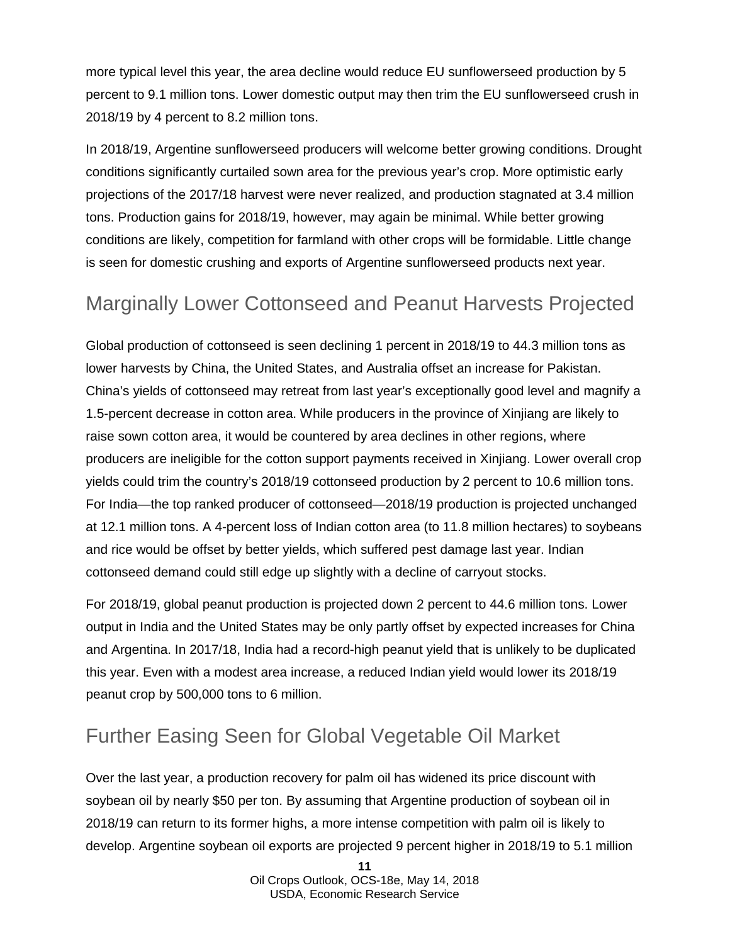more typical level this year, the area decline would reduce EU sunflowerseed production by 5 percent to 9.1 million tons. Lower domestic output may then trim the EU sunflowerseed crush in 2018/19 by 4 percent to 8.2 million tons.

In 2018/19, Argentine sunflowerseed producers will welcome better growing conditions. Drought conditions significantly curtailed sown area for the previous year's crop. More optimistic early projections of the 2017/18 harvest were never realized, and production stagnated at 3.4 million tons. Production gains for 2018/19, however, may again be minimal. While better growing conditions are likely, competition for farmland with other crops will be formidable. Little change is seen for domestic crushing and exports of Argentine sunflowerseed products next year.

### Marginally Lower Cottonseed and Peanut Harvests Projected

Global production of cottonseed is seen declining 1 percent in 2018/19 to 44.3 million tons as lower harvests by China, the United States, and Australia offset an increase for Pakistan. China's yields of cottonseed may retreat from last year's exceptionally good level and magnify a 1.5-percent decrease in cotton area. While producers in the province of Xinjiang are likely to raise sown cotton area, it would be countered by area declines in other regions, where producers are ineligible for the cotton support payments received in Xinjiang. Lower overall crop yields could trim the country's 2018/19 cottonseed production by 2 percent to 10.6 million tons. For India—the top ranked producer of cottonseed—2018/19 production is projected unchanged at 12.1 million tons. A 4-percent loss of Indian cotton area (to 11.8 million hectares) to soybeans and rice would be offset by better yields, which suffered pest damage last year. Indian cottonseed demand could still edge up slightly with a decline of carryout stocks.

For 2018/19, global peanut production is projected down 2 percent to 44.6 million tons. Lower output in India and the United States may be only partly offset by expected increases for China and Argentina. In 2017/18, India had a record-high peanut yield that is unlikely to be duplicated this year. Even with a modest area increase, a reduced Indian yield would lower its 2018/19 peanut crop by 500,000 tons to 6 million.

### Further Easing Seen for Global Vegetable Oil Market

Over the last year, a production recovery for palm oil has widened its price discount with soybean oil by nearly \$50 per ton. By assuming that Argentine production of soybean oil in 2018/19 can return to its former highs, a more intense competition with palm oil is likely to develop. Argentine soybean oil exports are projected 9 percent higher in 2018/19 to 5.1 million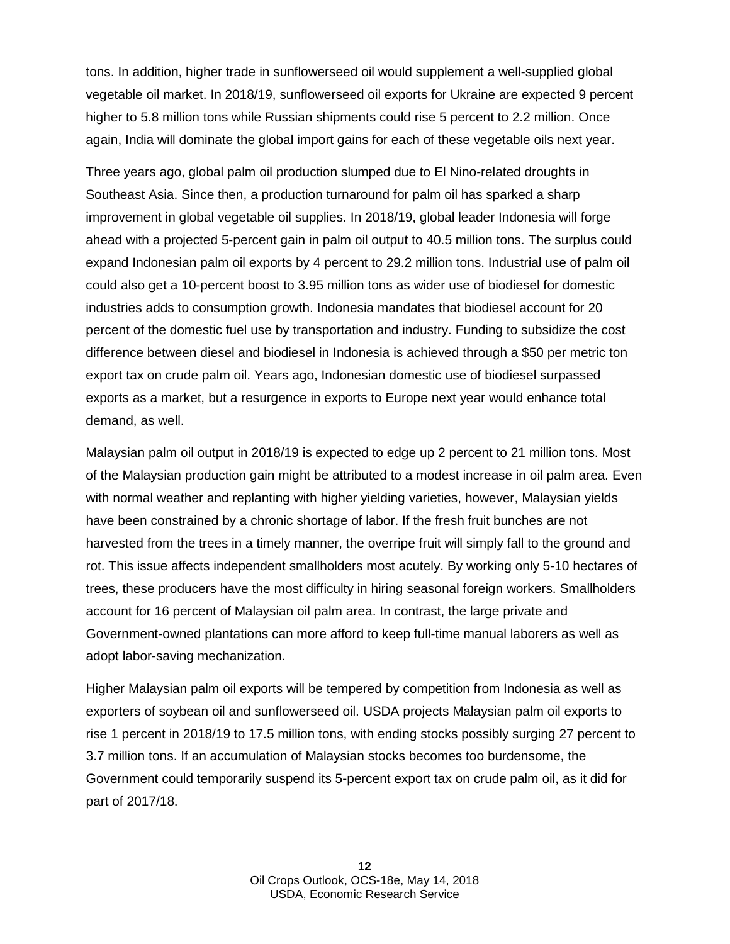tons. In addition, higher trade in sunflowerseed oil would supplement a well-supplied global vegetable oil market. In 2018/19, sunflowerseed oil exports for Ukraine are expected 9 percent higher to 5.8 million tons while Russian shipments could rise 5 percent to 2.2 million. Once again, India will dominate the global import gains for each of these vegetable oils next year.

Three years ago, global palm oil production slumped due to El Nino-related droughts in Southeast Asia. Since then, a production turnaround for palm oil has sparked a sharp improvement in global vegetable oil supplies. In 2018/19, global leader Indonesia will forge ahead with a projected 5-percent gain in palm oil output to 40.5 million tons. The surplus could expand Indonesian palm oil exports by 4 percent to 29.2 million tons. Industrial use of palm oil could also get a 10-percent boost to 3.95 million tons as wider use of biodiesel for domestic industries adds to consumption growth. Indonesia mandates that biodiesel account for 20 percent of the domestic fuel use by transportation and industry. Funding to subsidize the cost difference between diesel and biodiesel in Indonesia is achieved through a \$50 per metric ton export tax on crude palm oil. Years ago, Indonesian domestic use of biodiesel surpassed exports as a market, but a resurgence in exports to Europe next year would enhance total demand, as well.

Malaysian palm oil output in 2018/19 is expected to edge up 2 percent to 21 million tons. Most of the Malaysian production gain might be attributed to a modest increase in oil palm area. Even with normal weather and replanting with higher yielding varieties, however, Malaysian yields have been constrained by a chronic shortage of labor. If the fresh fruit bunches are not harvested from the trees in a timely manner, the overripe fruit will simply fall to the ground and rot. This issue affects independent smallholders most acutely. By working only 5-10 hectares of trees, these producers have the most difficulty in hiring seasonal foreign workers. Smallholders account for 16 percent of Malaysian oil palm area. In contrast, the large private and Government-owned plantations can more afford to keep full-time manual laborers as well as adopt labor-saving mechanization.

Higher Malaysian palm oil exports will be tempered by competition from Indonesia as well as exporters of soybean oil and sunflowerseed oil. USDA projects Malaysian palm oil exports to rise 1 percent in 2018/19 to 17.5 million tons, with ending stocks possibly surging 27 percent to 3.7 million tons. If an accumulation of Malaysian stocks becomes too burdensome, the Government could temporarily suspend its 5-percent export tax on crude palm oil, as it did for part of 2017/18.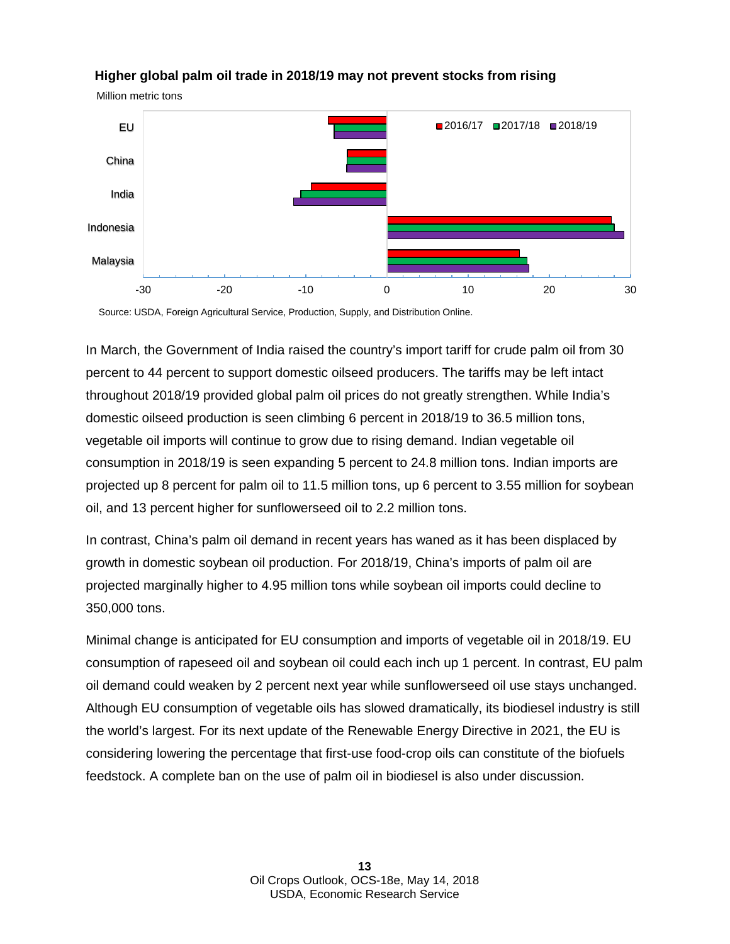

#### **Higher global palm oil trade in 2018/19 may not prevent stocks from rising**

Million metric tons

Source: USDA, Foreign Agricultural Service, Production, Supply, and Distribution Online.

In March, the Government of India raised the country's import tariff for crude palm oil from 30 percent to 44 percent to support domestic oilseed producers. The tariffs may be left intact throughout 2018/19 provided global palm oil prices do not greatly strengthen. While India's domestic oilseed production is seen climbing 6 percent in 2018/19 to 36.5 million tons, vegetable oil imports will continue to grow due to rising demand. Indian vegetable oil consumption in 2018/19 is seen expanding 5 percent to 24.8 million tons. Indian imports are projected up 8 percent for palm oil to 11.5 million tons, up 6 percent to 3.55 million for soybean oil, and 13 percent higher for sunflowerseed oil to 2.2 million tons.

In contrast, China's palm oil demand in recent years has waned as it has been displaced by growth in domestic soybean oil production. For 2018/19, China's imports of palm oil are projected marginally higher to 4.95 million tons while soybean oil imports could decline to 350,000 tons.

Minimal change is anticipated for EU consumption and imports of vegetable oil in 2018/19. EU consumption of rapeseed oil and soybean oil could each inch up 1 percent. In contrast, EU palm oil demand could weaken by 2 percent next year while sunflowerseed oil use stays unchanged. Although EU consumption of vegetable oils has slowed dramatically, its biodiesel industry is still the world's largest. For its next update of the Renewable Energy Directive in 2021, the EU is considering lowering the percentage that first-use food-crop oils can constitute of the biofuels feedstock. A complete ban on the use of palm oil in biodiesel is also under discussion.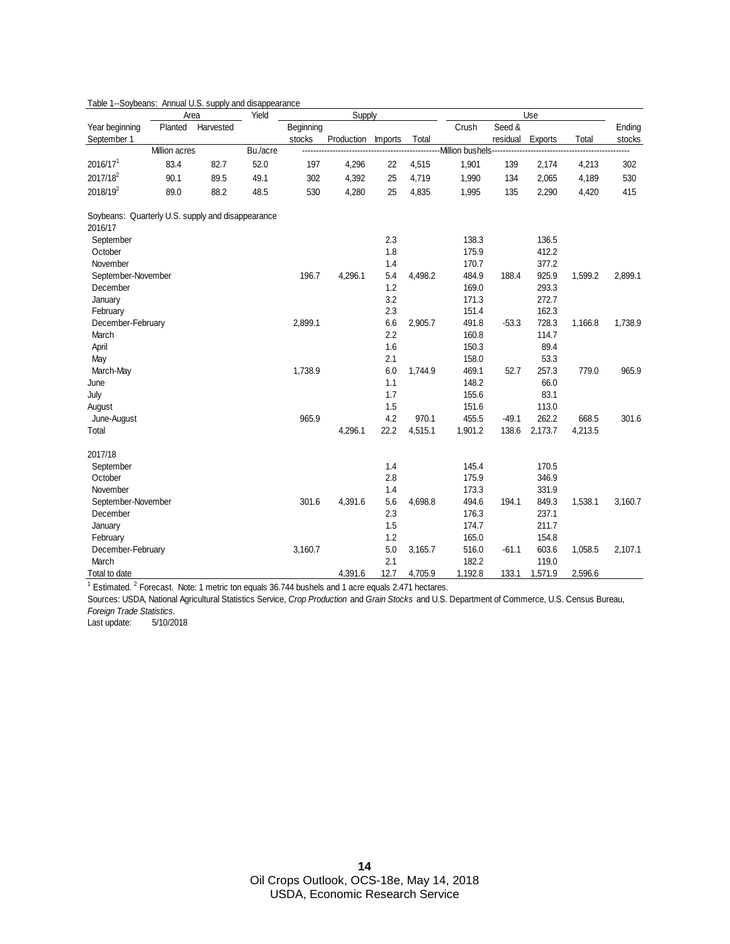|                                                              |               | Area      | Yield    |           | Supply     |                |         |                   |          | Use     |         |         |
|--------------------------------------------------------------|---------------|-----------|----------|-----------|------------|----------------|---------|-------------------|----------|---------|---------|---------|
| Year beginning                                               | Planted       | Harvested |          | Beginning |            |                |         | Crush             | Seed &   |         |         | Ending  |
| September 1                                                  |               |           |          | stocks    | Production | <b>Imports</b> | Total   |                   | residual | Exports | Total   | stocks  |
|                                                              | Million acres |           | Bu./acre |           |            |                |         | -Million bushels- |          |         |         |         |
| 2016/17 <sup>1</sup>                                         | 83.4          | 82.7      | 52.0     | 197       | 4,296      | 22             | 4,515   | 1,901             | 139      | 2,174   | 4,213   | 302     |
| 2017/18 <sup>2</sup>                                         | 90.1          | 89.5      | 49.1     | 302       | 4,392      | 25             | 4,719   | 1,990             | 134      | 2,065   | 4,189   | 530     |
| 2018/19 <sup>2</sup>                                         | 89.0          | 88.2      | 48.5     | 530       | 4,280      | 25             | 4,835   | 1,995             | 135      | 2,290   | 4,420   | 415     |
| Soybeans: Quarterly U.S. supply and disappearance<br>2016/17 |               |           |          |           |            |                |         |                   |          |         |         |         |
| September                                                    |               |           |          |           |            | 2.3            |         | 138.3             |          | 136.5   |         |         |
| October                                                      |               |           |          |           |            | 1.8            |         | 175.9             |          | 412.2   |         |         |
| November                                                     |               |           |          |           |            | 1.4            |         | 170.7             |          | 377.2   |         |         |
| September-November                                           |               |           |          | 196.7     | 4,296.1    | 5.4            | 4,498.2 | 484.9             | 188.4    | 925.9   | 1,599.2 | 2,899.1 |
| December                                                     |               |           |          |           |            | 1.2            |         | 169.0             |          | 293.3   |         |         |
| January                                                      |               |           |          |           |            | 3.2            |         | 171.3             |          | 272.7   |         |         |
| February                                                     |               |           |          |           |            | 2.3            |         | 151.4             |          | 162.3   |         |         |
| December-February                                            |               |           |          | 2,899.1   |            | 6.6            | 2,905.7 | 491.8             | $-53.3$  | 728.3   | 1,166.8 | 1,738.9 |
| March                                                        |               |           |          |           |            | 2.2            |         | 160.8             |          | 114.7   |         |         |
| April                                                        |               |           |          |           |            | 1.6            |         | 150.3             |          | 89.4    |         |         |
| May                                                          |               |           |          |           |            | 2.1            |         | 158.0             |          | 53.3    |         |         |
| March-May                                                    |               |           |          | 1,738.9   |            | 6.0            | 1,744.9 | 469.1             | 52.7     | 257.3   | 779.0   | 965.9   |
| June                                                         |               |           |          |           |            | 1.1            |         | 148.2             |          | 66.0    |         |         |
| July                                                         |               |           |          |           |            | 1.7            |         | 155.6             |          | 83.1    |         |         |
| August                                                       |               |           |          |           |            | 1.5            |         | 151.6             |          | 113.0   |         |         |
| June-August                                                  |               |           |          | 965.9     |            | 4.2            | 970.1   | 455.5             | $-49.1$  | 262.2   | 668.5   | 301.6   |
| Total                                                        |               |           |          |           | 4,296.1    | 22.2           | 4,515.1 | 1,901.2           | 138.6    | 2,173.7 | 4,213.5 |         |
| 2017/18                                                      |               |           |          |           |            |                |         |                   |          |         |         |         |
| September                                                    |               |           |          |           |            | 1.4            |         | 145.4             |          | 170.5   |         |         |
| October                                                      |               |           |          |           |            | 2.8            |         | 175.9             |          | 346.9   |         |         |
| November                                                     |               |           |          |           |            | 1.4            |         | 173.3             |          | 331.9   |         |         |
| September-November                                           |               |           |          | 301.6     | 4,391.6    | 5.6            | 4,698.8 | 494.6             | 194.1    | 849.3   | 1,538.1 | 3,160.7 |
| December                                                     |               |           |          |           |            | 2.3            |         | 176.3             |          | 237.1   |         |         |
| January                                                      |               |           |          |           |            | 1.5            |         | 174.7             |          | 211.7   |         |         |
| February                                                     |               |           |          |           |            | 1.2            |         | 165.0             |          | 154.8   |         |         |
| December-February                                            |               |           |          | 3,160.7   |            | 5.0            | 3,165.7 | 516.0             | $-61.1$  | 603.6   | 1,058.5 | 2,107.1 |
| March                                                        |               |           |          |           |            | 2.1            |         | 182.2             |          | 119.0   |         |         |
| Total to date                                                |               |           |          |           | 4,391.6    | 12.7           | 4,705.9 | 1,192.8           | 133.1    | 1,571.9 | 2,596.6 |         |

#### Table 1--Soybeans: Annual U.S. supply and disappearance

 $1$  Estimated.  $2$  Forecast. Note: 1 metric ton equals 36.744 bushels and 1 acre equals 2.471 hectares.

Sources: USDA, National Agricultural Statistics Service, *Crop Production* and *Grain Stocks* and U.S. Department of Commerce, U.S. Census Bureau, *Foreign Trade Statistics.*

Last update: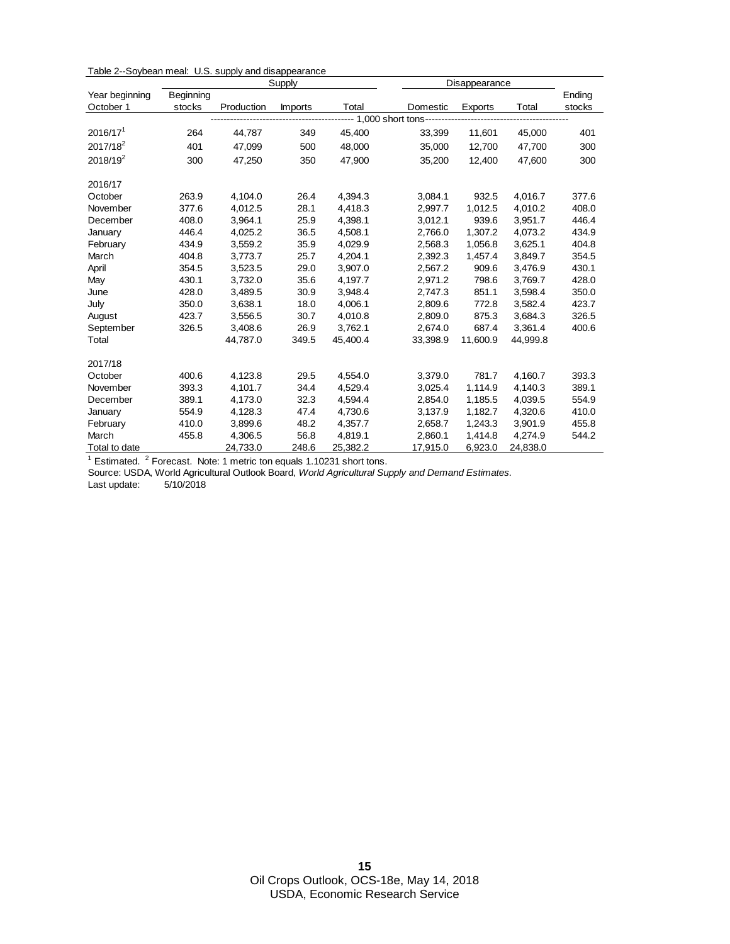| Table 2--Soybean meal: U.S. supply and disappearance |  |  |
|------------------------------------------------------|--|--|
|------------------------------------------------------|--|--|

|                                                                            |           |            | Supply         |          |                                  | Disappearance |          |        |
|----------------------------------------------------------------------------|-----------|------------|----------------|----------|----------------------------------|---------------|----------|--------|
| Year beginning                                                             | Beginning |            |                |          |                                  |               |          | Ending |
| October 1                                                                  | stocks    | Production | <b>Imports</b> | Total    | Domestic                         | Exports       | Total    | stocks |
|                                                                            |           |            |                |          | ---- 1,000 short tons----------- |               |          |        |
| 2016/17 <sup>1</sup>                                                       | 264       | 44,787     | 349            | 45,400   | 33,399                           | 11,601        | 45,000   | 401    |
| 2017/18 <sup>2</sup>                                                       | 401       | 47,099     | 500            | 48,000   | 35,000                           | 12,700        | 47,700   | 300    |
| $2018/19^2$                                                                | 300       | 47,250     | 350            | 47.900   | 35.200                           | 12.400        | 47.600   | 300    |
| 2016/17                                                                    |           |            |                |          |                                  |               |          |        |
| October                                                                    | 263.9     | 4,104.0    | 26.4           | 4,394.3  | 3,084.1                          | 932.5         | 4.016.7  | 377.6  |
| November                                                                   | 377.6     | 4,012.5    | 28.1           | 4,418.3  | 2,997.7                          | 1,012.5       | 4,010.2  | 408.0  |
| December                                                                   | 408.0     | 3,964.1    | 25.9           | 4,398.1  | 3,012.1                          | 939.6         | 3,951.7  | 446.4  |
| January                                                                    | 446.4     | 4,025.2    | 36.5           | 4,508.1  | 2,766.0                          | 1,307.2       | 4,073.2  | 434.9  |
| February                                                                   | 434.9     | 3,559.2    | 35.9           | 4,029.9  | 2,568.3                          | 1,056.8       | 3,625.1  | 404.8  |
| March                                                                      | 404.8     | 3,773.7    | 25.7           | 4,204.1  | 2,392.3                          | 1,457.4       | 3,849.7  | 354.5  |
| April                                                                      | 354.5     | 3,523.5    | 29.0           | 3,907.0  | 2,567.2                          | 909.6         | 3,476.9  | 430.1  |
| May                                                                        | 430.1     | 3,732.0    | 35.6           | 4,197.7  | 2,971.2                          | 798.6         | 3,769.7  | 428.0  |
| June                                                                       | 428.0     | 3,489.5    | 30.9           | 3,948.4  | 2,747.3                          | 851.1         | 3,598.4  | 350.0  |
| July                                                                       | 350.0     | 3,638.1    | 18.0           | 4,006.1  | 2,809.6                          | 772.8         | 3,582.4  | 423.7  |
| August                                                                     | 423.7     | 3,556.5    | 30.7           | 4,010.8  | 2,809.0                          | 875.3         | 3,684.3  | 326.5  |
| September                                                                  | 326.5     | 3,408.6    | 26.9           | 3,762.1  | 2,674.0                          | 687.4         | 3,361.4  | 400.6  |
| Total                                                                      |           | 44,787.0   | 349.5          | 45,400.4 | 33,398.9                         | 11,600.9      | 44,999.8 |        |
| 2017/18                                                                    |           |            |                |          |                                  |               |          |        |
| October                                                                    | 400.6     | 4,123.8    | 29.5           | 4,554.0  | 3,379.0                          | 781.7         | 4,160.7  | 393.3  |
| November                                                                   | 393.3     | 4,101.7    | 34.4           | 4,529.4  | 3,025.4                          | 1,114.9       | 4,140.3  | 389.1  |
| December                                                                   | 389.1     | 4,173.0    | 32.3           | 4,594.4  | 2,854.0                          | 1,185.5       | 4,039.5  | 554.9  |
| January                                                                    | 554.9     | 4,128.3    | 47.4           | 4,730.6  | 3,137.9                          | 1,182.7       | 4,320.6  | 410.0  |
| February                                                                   | 410.0     | 3,899.6    | 48.2           | 4,357.7  | 2,658.7                          | 1,243.3       | 3,901.9  | 455.8  |
| March                                                                      | 455.8     | 4,306.5    | 56.8           | 4,819.1  | 2,860.1                          | 1,414.8       | 4,274.9  | 544.2  |
| Total to date                                                              |           | 24,733.0   | 248.6          | 25,382.2 | 17,915.0                         | 6,923.0       | 24,838.0 |        |
| $1$ Estimated. $2$ Forecast. Note: 1 metric ton equals 1.10231 short tons. |           |            |                |          |                                  |               |          |        |

Source: USDA, World Agricultural Outlook Board, *World Agricultural Supply and Demand Estimates.*

Last update: 5/10/2018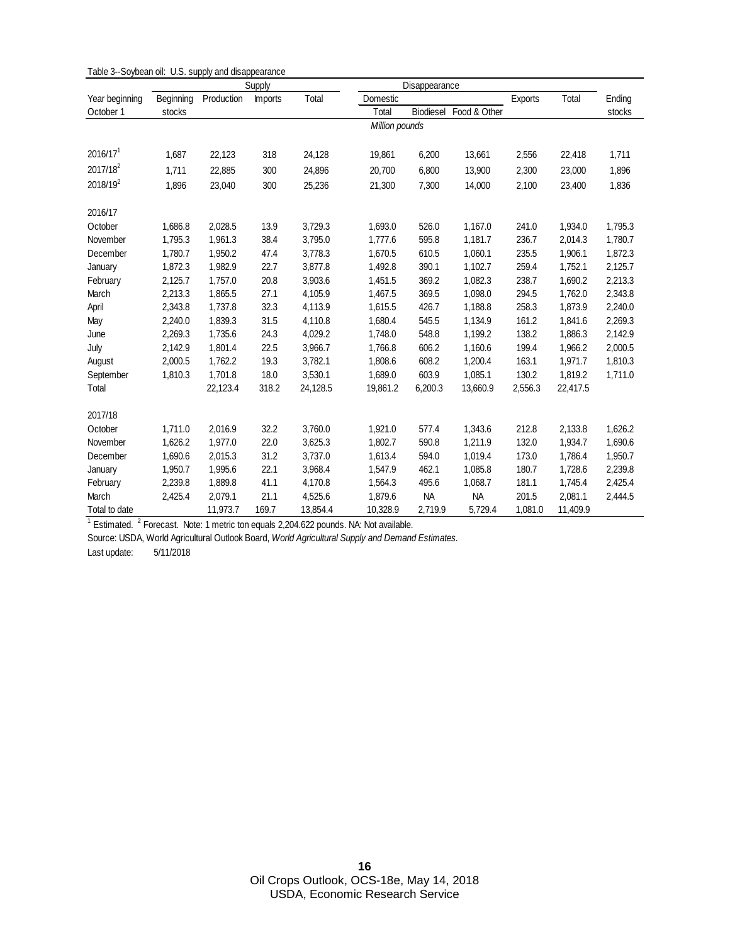|                      |           |            | Supply         |          |          | Disappearance  |              |         |          |         |  |  |
|----------------------|-----------|------------|----------------|----------|----------|----------------|--------------|---------|----------|---------|--|--|
| Year beginning       | Beginning | Production | <b>Imports</b> | Total    | Domestic |                |              | Exports | Total    | Ending  |  |  |
| October 1            | stocks    |            |                |          | Total    | Biodiesel      | Food & Other |         |          | stocks  |  |  |
|                      |           |            |                |          |          | Million pounds |              |         |          |         |  |  |
|                      |           |            |                |          |          |                |              |         |          |         |  |  |
| 2016/17 <sup>1</sup> | 1,687     | 22,123     | 318            | 24,128   | 19,861   | 6,200          | 13,661       | 2,556   | 22,418   | 1,711   |  |  |
| 2017/18 <sup>2</sup> | 1,711     | 22,885     | 300            | 24,896   | 20,700   | 6,800          | 13,900       | 2,300   | 23,000   | 1,896   |  |  |
| 2018/19 <sup>2</sup> | 1,896     | 23,040     | 300            | 25,236   | 21,300   | 7,300          | 14,000       | 2,100   | 23,400   | 1,836   |  |  |
| 2016/17              |           |            |                |          |          |                |              |         |          |         |  |  |
| October              | 1,686.8   | 2,028.5    | 13.9           | 3,729.3  | 1,693.0  | 526.0          | 1,167.0      | 241.0   | 1,934.0  | 1,795.3 |  |  |
| November             | 1,795.3   | 1,961.3    | 38.4           | 3,795.0  | 1,777.6  | 595.8          | 1,181.7      | 236.7   | 2,014.3  | 1,780.7 |  |  |
| December             | 1,780.7   | 1,950.2    | 47.4           | 3,778.3  | 1,670.5  | 610.5          | 1,060.1      | 235.5   | 1,906.1  | 1,872.3 |  |  |
| January              | 1,872.3   | 1,982.9    | 22.7           | 3,877.8  | 1,492.8  | 390.1          | 1,102.7      | 259.4   | 1,752.1  | 2,125.7 |  |  |
| February             | 2,125.7   | 1,757.0    | 20.8           | 3,903.6  | 1,451.5  | 369.2          | 1,082.3      | 238.7   | 1,690.2  | 2,213.3 |  |  |
| March                | 2,213.3   | 1,865.5    | 27.1           | 4,105.9  | 1,467.5  | 369.5          | 1,098.0      | 294.5   | 1,762.0  | 2,343.8 |  |  |
| April                | 2,343.8   | 1,737.8    | 32.3           | 4,113.9  | 1,615.5  | 426.7          | 1,188.8      | 258.3   | 1,873.9  | 2,240.0 |  |  |
| May                  | 2,240.0   | 1,839.3    | 31.5           | 4,110.8  | 1,680.4  | 545.5          | 1,134.9      | 161.2   | 1,841.6  | 2,269.3 |  |  |
| June                 | 2,269.3   | 1,735.6    | 24.3           | 4,029.2  | 1,748.0  | 548.8          | 1,199.2      | 138.2   | 1,886.3  | 2,142.9 |  |  |
| July                 | 2,142.9   | 1,801.4    | 22.5           | 3,966.7  | 1,766.8  | 606.2          | 1,160.6      | 199.4   | 1,966.2  | 2,000.5 |  |  |
| August               | 2,000.5   | 1,762.2    | 19.3           | 3,782.1  | 1,808.6  | 608.2          | 1,200.4      | 163.1   | 1,971.7  | 1,810.3 |  |  |
| September            | 1,810.3   | 1,701.8    | 18.0           | 3,530.1  | 1,689.0  | 603.9          | 1,085.1      | 130.2   | 1,819.2  | 1,711.0 |  |  |
| Total                |           | 22,123.4   | 318.2          | 24,128.5 | 19,861.2 | 6,200.3        | 13,660.9     | 2,556.3 | 22,417.5 |         |  |  |
| 2017/18              |           |            |                |          |          |                |              |         |          |         |  |  |
| October              | 1,711.0   | 2,016.9    | 32.2           | 3,760.0  | 1,921.0  | 577.4          | 1,343.6      | 212.8   | 2,133.8  | 1,626.2 |  |  |
| November             | 1,626.2   | 1,977.0    | 22.0           | 3,625.3  | 1,802.7  | 590.8          | 1,211.9      | 132.0   | 1,934.7  | 1,690.6 |  |  |
| December             | 1,690.6   | 2,015.3    | 31.2           | 3,737.0  | 1,613.4  | 594.0          | 1,019.4      | 173.0   | 1,786.4  | 1,950.7 |  |  |
| January              | 1,950.7   | 1,995.6    | 22.1           | 3,968.4  | 1,547.9  | 462.1          | 1,085.8      | 180.7   | 1,728.6  | 2,239.8 |  |  |
| February             | 2,239.8   | 1,889.8    | 41.1           | 4,170.8  | 1,564.3  | 495.6          | 1,068.7      | 181.1   | 1,745.4  | 2,425.4 |  |  |
| March                | 2,425.4   | 2,079.1    | 21.1           | 4,525.6  | 1,879.6  | <b>NA</b>      | <b>NA</b>    | 201.5   | 2,081.1  | 2,444.5 |  |  |
| Total to date        |           | 11,973.7   | 169.7          | 13,854.4 | 10,328.9 | 2,719.9        | 5,729.4      | 1,081.0 | 11,409.9 |         |  |  |

Table 3--Soybean oil: U.S. supply and disappearance

 $1$  Estimated.  $2$  Forecast. Note: 1 metric ton equals 2,204.622 pounds. NA: Not available.

Source: USDA, World Agricultural Outlook Board, *World Agricultural Supply and Demand Estimates.*

Last update: 5/11/2018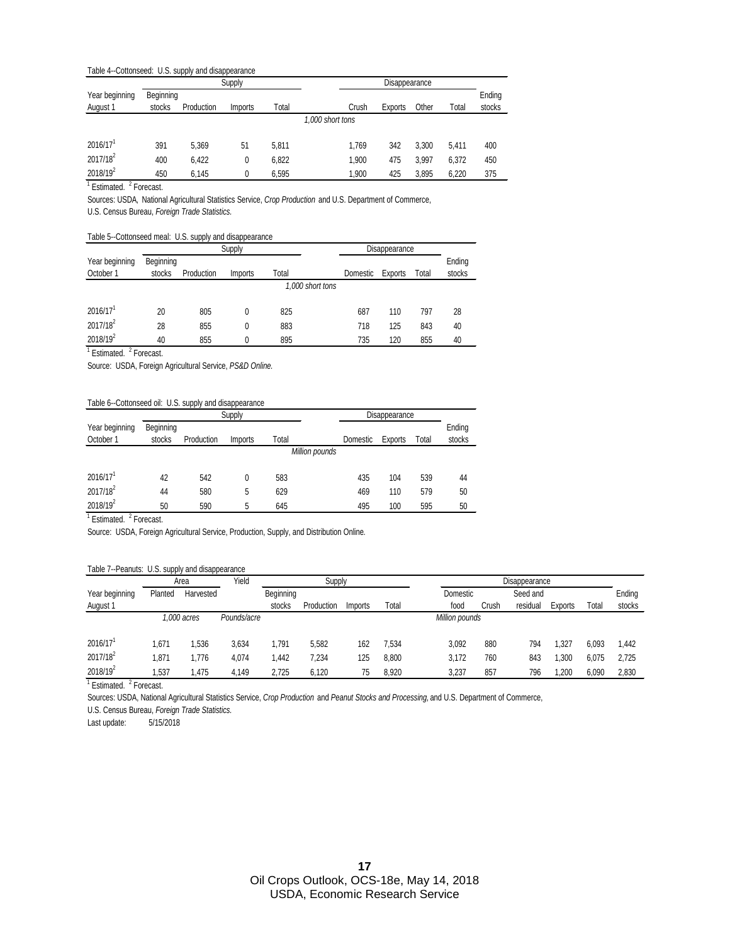#### Table 4--Cottonseed: U.S. supply and disappearance

|                        |           |            | Supply  |       |                  | Disappearance |         |       |       |        |
|------------------------|-----------|------------|---------|-------|------------------|---------------|---------|-------|-------|--------|
| Year beginning         | Beginning |            |         |       |                  |               |         |       |       | Ending |
| August 1               | stocks    | Production | Imports | Total |                  | Crush         | Exports | Other | Total | stocks |
|                        |           |            |         |       | 1.000 short tons |               |         |       |       |        |
| $2016/17$ <sup>1</sup> | 391       | 5.369      | 51      | 5.811 |                  | 1.769         | 342     | 3.300 | 5.411 | 400    |
| 2017/18 <sup>2</sup>   | 400       | 6.422      | 0       | 6.822 |                  | 1.900         | 475     | 3.997 | 6.372 | 450    |
| 2018/19 <sup>2</sup>   | 450       | 6.145      | 0       | 6,595 |                  | 1.900         | 425     | 3.895 | 6.220 | 375    |

<sup>1</sup> Estimated. <sup>2</sup> Forecast.

Sources: USDA*,* National Agricultural Statistics Service, *Crop Production* and U.S. Department of Commerce,

U.S. Census Bureau, *Foreign Trade Statistics.*

#### Table 5--Cottonseed meal: U.S. supply and disappearance

|                             |                     |            | Supply         |                  | Disappearance |         |       |                  |
|-----------------------------|---------------------|------------|----------------|------------------|---------------|---------|-------|------------------|
| Year beginning<br>October 1 | Beginning<br>stocks | Production | <i>Imports</i> | Total            | Domestic      | Exports | Total | Ending<br>stocks |
|                             |                     |            |                | 1.000 short tons |               |         |       |                  |
| $2016/17$ <sup>1</sup>      | 20                  | 805        | 0              | 825              | 687           | 110     | 797   | 28               |
| 2017/18 <sup>2</sup>        | 28                  | 855        | 0              | 883              | 718           | 125     | 843   | 40               |
| 2018/19 <sup>2</sup>        | 40                  | 855        | 0              | 895              | 735           | 120     | 855   | 40               |

<sup>1</sup> Estimated. <sup>2</sup> Forecast.

Source: USDA, Foreign Agricultural Service, *PS&D Online.*

#### Table 6--Cottonseed oil: U.S. supply and disappearance

|                      |           |            | Supply         |       |                | Disappearance |         |       |        |
|----------------------|-----------|------------|----------------|-------|----------------|---------------|---------|-------|--------|
| Year beginning       | Beginning |            |                |       |                |               |         |       | Ending |
| October 1            | stocks    | Production | <i>Imports</i> | Total |                | Domestic      | Exports | Total | stocks |
|                      |           |            |                |       | Million pounds |               |         |       |        |
|                      |           |            |                |       |                |               |         |       |        |
| 2016/17 <sup>1</sup> | 42        | 542        |                | 583   |                | 435           | 104     | 539   | 44     |
| 2017/18 <sup>2</sup> | 44        | 580        | 5              | 629   |                | 469           | 110     | 579   | 50     |
| 2018/19 <sup>2</sup> | 50        | 590        | 5              | 645   |                | 495           | 100     | 595   | 50     |

<sup>1</sup> Estimated. <sup>2</sup> Forecast.

Source: USDA, Foreign Agricultural Service, Production, Supply, and Distribution Online*.*

#### Table 7--Peanuts: U.S. supply and disappearance

|                        |             | Area      | Yield       |           | Supply     |         |                | Disappearance |       |          |         |       |        |
|------------------------|-------------|-----------|-------------|-----------|------------|---------|----------------|---------------|-------|----------|---------|-------|--------|
| Year beginning         | Planted     | Harvested |             | Beginning |            |         |                | Domestic      |       | Seed and |         |       | Ending |
| August 1               |             |           |             | stocks    | Production | Imports | Total          | food          | Crush | residual | Exports | Total | stocks |
|                        | 1.000 acres |           | Pounds/acre |           |            |         | Million pounds |               |       |          |         |       |        |
|                        |             |           |             |           |            |         |                |               |       |          |         |       |        |
| $2016/17$ <sup>1</sup> | 1.671       | .536      | 3,634       | 1,791     | 5,582      | 162     | 7,534          | 3,092         | 880   | 794      | .327    | 6.093 | 1.442  |
| 2017/18 <sup>2</sup>   | 1,871       | .776      | 4,074       | ,442      | 7,234      | 125     | 8,800          | 3,172         | 760   | 843      | ,300    | 6,075 | 2.725  |
| $2018/19^2$            | .537        | .475      | 4.149       | 2,725     | 6,120      | 75      | 8,920          | 3,237         | 857   | 796      | ,200    | 6.090 | 2,830  |

<sup>1</sup> Estimated. <sup>2</sup> Forecast.

Sources: USDA, National Agricultural Statistics Service, *Crop Production* and *Peanut Stocks and Processing,* and U.S. Department of Commerce,

U.S. Census Bureau, *Foreign Trade Statistics.*

Last update: 5/15/2018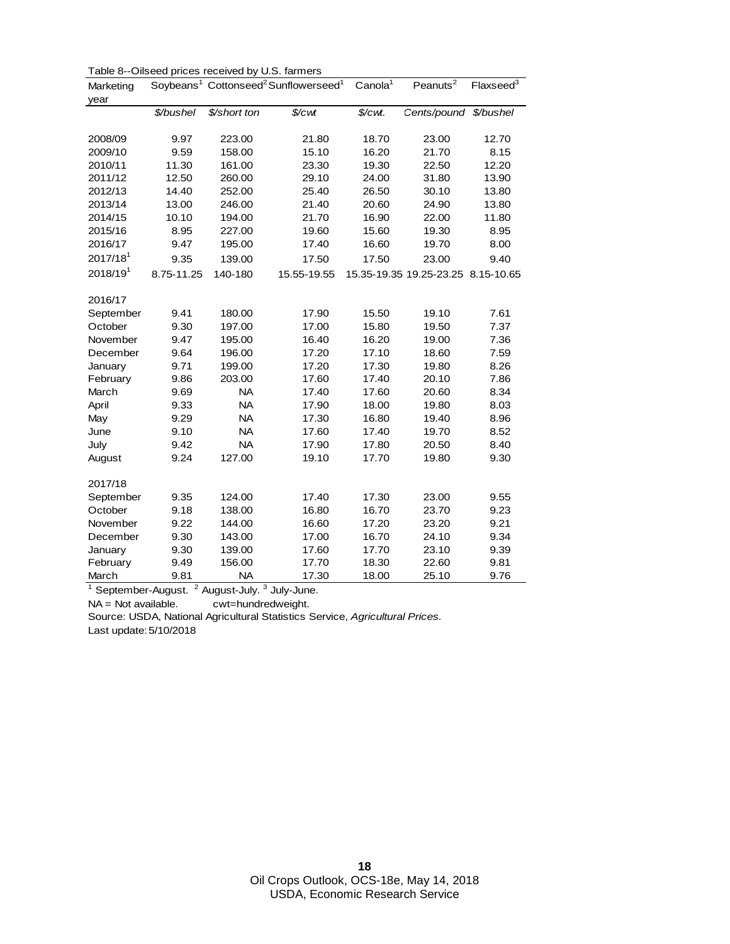| Marketing            |            | Ollocca prioco received by O.O. Tarritions | Soybeans <sup>1</sup> Cottonseed <sup>2</sup> Sunflowerseed <sup>1</sup> | Canola <sup>1</sup> | Peanuts $\overline{2}$             | Flaxseed <sup>3</sup> |
|----------------------|------------|--------------------------------------------|--------------------------------------------------------------------------|---------------------|------------------------------------|-----------------------|
| year                 |            |                                            |                                                                          |                     |                                    |                       |
|                      | \$/bushel  | \$/short ton                               | \$/cwt                                                                   | \$/cwt.             | Cents/pound                        | \$/bushel             |
|                      |            |                                            |                                                                          |                     |                                    |                       |
| 2008/09              | 9.97       | 223.00                                     | 21.80                                                                    | 18.70               | 23.00                              | 12.70                 |
| 2009/10              | 9.59       | 158.00                                     | 15.10                                                                    | 16.20               | 21.70                              | 8.15                  |
| 2010/11              | 11.30      | 161.00                                     | 23.30                                                                    | 19.30               | 22.50                              | 12.20                 |
| 2011/12              | 12.50      | 260.00                                     | 29.10                                                                    | 24.00               | 31.80                              | 13.90                 |
| 2012/13              | 14.40      | 252.00                                     | 25.40                                                                    | 26.50               | 30.10                              | 13.80                 |
| 2013/14              | 13.00      | 246.00                                     | 21.40                                                                    | 20.60               | 24.90                              | 13.80                 |
| 2014/15              | 10.10      | 194.00                                     | 21.70                                                                    | 16.90               | 22.00                              | 11.80                 |
| 2015/16              | 8.95       | 227.00                                     | 19.60                                                                    | 15.60               | 19.30                              | 8.95                  |
| 2016/17              | 9.47       | 195.00                                     | 17.40                                                                    | 16.60               | 19.70                              | 8.00                  |
| 2017/18 <sup>1</sup> | 9.35       | 139.00                                     | 17.50                                                                    | 17.50               | 23.00                              | 9.40                  |
| 2018/19 <sup>1</sup> | 8.75-11.25 | 140-180                                    | 15.55-19.55                                                              |                     | 15.35-19.35 19.25-23.25 8.15-10.65 |                       |
|                      |            |                                            |                                                                          |                     |                                    |                       |
| 2016/17              |            |                                            |                                                                          |                     |                                    |                       |
| September            | 9.41       | 180.00                                     | 17.90                                                                    | 15.50               | 19.10                              | 7.61                  |
| October              | 9.30       | 197.00                                     | 17.00                                                                    | 15.80               | 19.50                              | 7.37                  |
| November             | 9.47       | 195.00                                     | 16.40                                                                    | 16.20               | 19.00                              | 7.36                  |
| December             | 9.64       | 196.00                                     | 17.20                                                                    | 17.10               | 18.60                              | 7.59                  |
| January              | 9.71       | 199.00                                     | 17.20                                                                    | 17.30               | 19.80                              | 8.26                  |
| February             | 9.86       | 203.00                                     | 17.60                                                                    | 17.40               | 20.10                              | 7.86                  |
| March                | 9.69       | <b>NA</b>                                  | 17.40                                                                    | 17.60               | 20.60                              | 8.34                  |
| April                | 9.33       | <b>NA</b>                                  | 17.90                                                                    | 18.00               | 19.80                              | 8.03                  |
| May                  | 9.29       | <b>NA</b>                                  | 17.30                                                                    | 16.80               | 19.40                              | 8.96                  |
| June                 | 9.10       | <b>NA</b>                                  | 17.60                                                                    | 17.40               | 19.70                              | 8.52                  |
| July                 | 9.42       | <b>NA</b>                                  | 17.90                                                                    | 17.80               | 20.50                              | 8.40                  |
| August               | 9.24       | 127.00                                     | 19.10                                                                    | 17.70               | 19.80                              | 9.30                  |
|                      |            |                                            |                                                                          |                     |                                    |                       |
| 2017/18              |            |                                            |                                                                          |                     |                                    |                       |
| September            | 9.35       | 124.00                                     | 17.40                                                                    | 17.30               | 23.00                              | 9.55                  |
| October              | 9.18       | 138.00                                     | 16.80                                                                    | 16.70               | 23.70                              | 9.23                  |
| November             | 9.22       | 144.00                                     | 16.60                                                                    | 17.20               | 23.20                              | 9.21                  |
| December             | 9.30       | 143.00                                     | 17.00                                                                    | 16.70               | 24.10                              | 9.34                  |
| January              | 9.30       | 139.00                                     | 17.60                                                                    | 17.70               | 23.10                              | 9.39                  |
| February             | 9.49       | 156.00                                     | 17.70                                                                    | 18.30               | 22.60                              | 9.81                  |
| March                | 9.81       | <b>NA</b>                                  | 17.30                                                                    | 18.00               | 25.10                              | 9.76                  |

Table 8--Oilseed prices received by U.S. farmers

 $1$  September-August.  $2$  August-July.  $3$  July-June.

NA = Not available. cwt=hundredweight.

Source: USDA, National Agricultural Statistics Service, *Agricultural Prices.* 

Last update:5/10/2018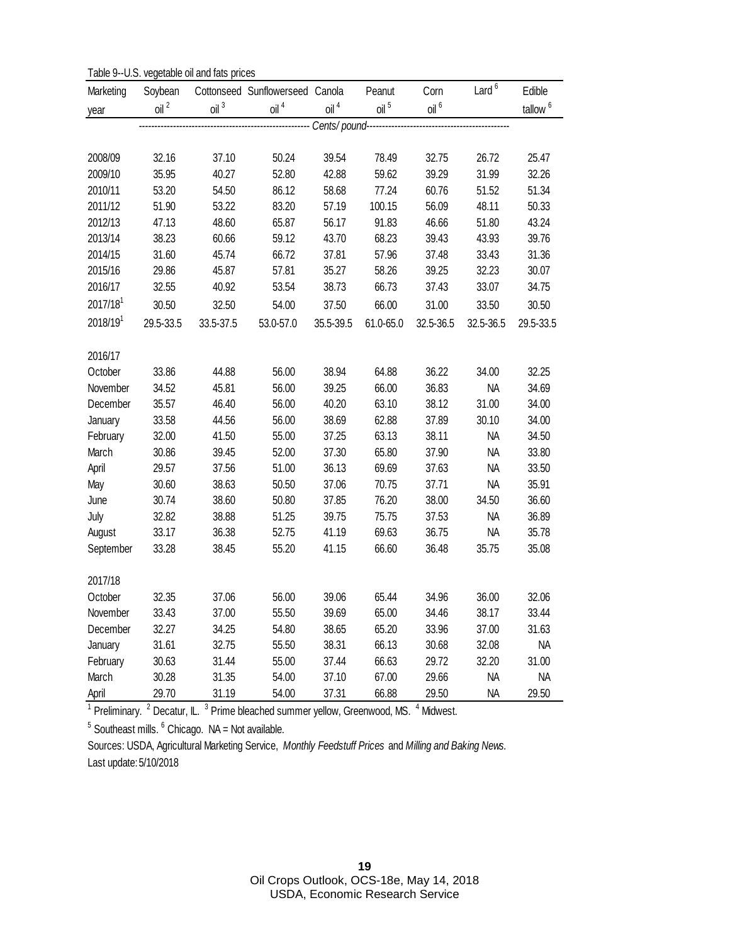Table 9--U.S. vegetable oil and fats prices

| Marketing     | Soybean       | Table 3-0.0. Vegetable off and rate prices | Cottonseed Sunflowerseed Canola |                  | Peanut         | Corn             | Lard $6$       | Edible              |
|---------------|---------------|--------------------------------------------|---------------------------------|------------------|----------------|------------------|----------------|---------------------|
| year          | $\frac{1}{2}$ | $\mathsf{oil} \space^3$                    | $\frac{1}{2}$                   | oil <sup>4</sup> | $\frac{1}{2}$  | oil <sup>6</sup> |                | tallow <sup>6</sup> |
|               |               |                                            | --------------- Cents/pound--   |                  |                |                  |                |                     |
|               |               |                                            |                                 |                  |                |                  |                |                     |
| 2008/09       | 32.16         | 37.10                                      | 50.24                           | 39.54            | 78.49          | 32.75            | 26.72          | 25.47               |
| 2009/10       | 35.95         | 40.27                                      | 52.80                           | 42.88            | 59.62          | 39.29            | 31.99          | 32.26               |
| 2010/11       | 53.20         | 54.50                                      | 86.12                           | 58.68            | 77.24          | 60.76            | 51.52          | 51.34               |
| 2011/12       | 51.90         | 53.22                                      | 83.20                           | 57.19            | 100.15         | 56.09            | 48.11          | 50.33               |
| 2012/13       | 47.13         | 48.60                                      | 65.87                           | 56.17            | 91.83          | 46.66            | 51.80          | 43.24               |
| 2013/14       | 38.23         | 60.66                                      | 59.12                           | 43.70            | 68.23          | 39.43            | 43.93          | 39.76               |
| 2014/15       | 31.60         | 45.74                                      | 66.72                           | 37.81            | 57.96          | 37.48            | 33.43          | 31.36               |
| 2015/16       | 29.86         | 45.87                                      | 57.81                           | 35.27            | 58.26          | 39.25            | 32.23          | 30.07               |
| 2016/17       | 32.55         | 40.92                                      | 53.54                           | 38.73            | 66.73          | 37.43            | 33.07          | 34.75               |
| 2017/181      | 30.50         | 32.50                                      | 54.00                           | 37.50            | 66.00          | 31.00            | 33.50          | 30.50               |
| $2018/19^{1}$ | 29.5-33.5     | 33.5-37.5                                  | 53.0-57.0                       | 35.5-39.5        | 61.0-65.0      | 32.5-36.5        | 32.5-36.5      | 29.5-33.5           |
|               |               |                                            |                                 |                  |                |                  |                |                     |
| 2016/17       |               |                                            |                                 |                  |                |                  |                |                     |
| October       | 33.86         | 44.88                                      | 56.00                           | 38.94            | 64.88          | 36.22            | 34.00          | 32.25               |
| November      | 34.52         | 45.81                                      | 56.00                           | 39.25            | 66.00          | 36.83            | <b>NA</b>      | 34.69               |
| December      | 35.57         | 46.40                                      | 56.00                           | 40.20            | 63.10          | 38.12            | 31.00          | 34.00               |
| January       | 33.58         | 44.56                                      | 56.00                           | 38.69            | 62.88          | 37.89            | 30.10          | 34.00               |
| February      | 32.00         | 41.50                                      | 55.00                           | 37.25            | 63.13          | 38.11            | <b>NA</b>      | 34.50               |
| March         | 30.86         | 39.45                                      | 52.00                           | 37.30            | 65.80          | 37.90            | <b>NA</b>      | 33.80               |
| April         | 29.57         | 37.56                                      | 51.00                           | 36.13            | 69.69          | 37.63            | <b>NA</b>      | 33.50               |
| May           | 30.60         | 38.63                                      | 50.50                           | 37.06            | 70.75          | 37.71            | <b>NA</b>      | 35.91               |
| June          | 30.74         | 38.60                                      | 50.80                           | 37.85            | 76.20          | 38.00            | 34.50          | 36.60               |
| July          | 32.82         | 38.88                                      | 51.25                           | 39.75            | 75.75          | 37.53            | <b>NA</b>      | 36.89               |
| August        | 33.17         | 36.38                                      | 52.75                           | 41.19            | 69.63          | 36.75            | <b>NA</b>      | 35.78               |
| September     | 33.28         | 38.45                                      | 55.20                           | 41.15            | 66.60          | 36.48            | 35.75          | 35.08               |
| 2017/18       |               |                                            |                                 |                  |                |                  |                |                     |
| October       | 32.35         | 37.06                                      | 56.00                           | 39.06            | 65.44          | 34.96            | 36.00          | 32.06               |
| November      | 33.43         |                                            |                                 |                  |                |                  |                | 33.44               |
| December      | 32.27         | 37.00<br>34.25                             | 55.50<br>54.80                  | 39.69<br>38.65   | 65.00<br>65.20 | 34.46<br>33.96   | 38.17<br>37.00 | 31.63               |
| January       | 31.61         | 32.75                                      | 55.50                           | 38.31            | 66.13          | 30.68            | 32.08          | <b>NA</b>           |
| February      | 30.63         | 31.44                                      | 55.00                           | 37.44            | 66.63          | 29.72            | 32.20          | 31.00               |
| March         | 30.28         | 31.35                                      | 54.00                           | 37.10            | 67.00          | 29.66            | <b>NA</b>      | NA                  |
| April         | 29.70         | 31.19                                      | 54.00                           | 37.31            | 66.88          | 29.50            | <b>NA</b>      | 29.50               |

<sup>1</sup> Preliminary. <sup>2</sup> Decatur, IL. <sup>3</sup> Prime bleached summer yellow, Greenwood, MS. <sup>4</sup> Midwest.

 $<sup>5</sup>$  Southeast mills.  $<sup>6</sup>$  Chicago. NA = Not available.</sup></sup>

Sources: USDA, Agricultural Marketing Service, *Monthly Feedstuff Prices* and *Milling and Baking News.*  Last update:5/10/2018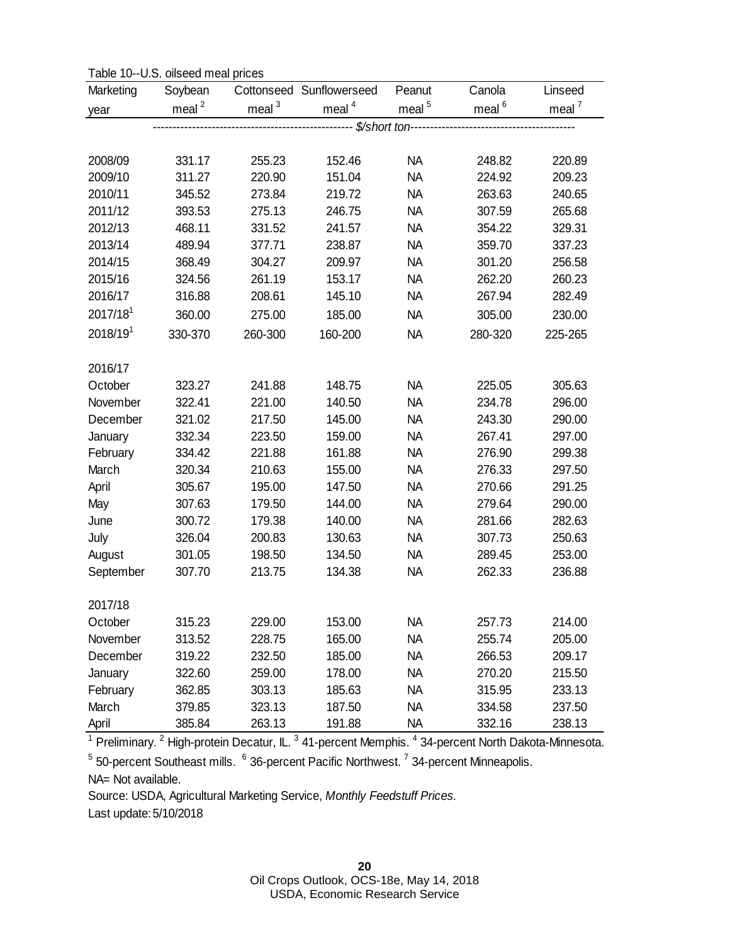| Table 10--U.S. oilseed meal prices |
|------------------------------------|
|------------------------------------|

| Marketing            | Soybean   |           | Cottonseed Sunflowerseed | Peanut    | Canola   | Linseed   |
|----------------------|-----------|-----------|--------------------------|-----------|----------|-----------|
| year                 | meal $^2$ | meal $^3$ | meal $4$                 | meal $5$  | meal $6$ | meal $^7$ |
|                      |           |           | -------- \$/short ton--  |           |          |           |
|                      |           |           |                          |           |          |           |
| 2008/09              | 331.17    | 255.23    | 152.46                   | <b>NA</b> | 248.82   | 220.89    |
| 2009/10              | 311.27    | 220.90    | 151.04                   | <b>NA</b> | 224.92   | 209.23    |
| 2010/11              | 345.52    | 273.84    | 219.72                   | <b>NA</b> | 263.63   | 240.65    |
| 2011/12              | 393.53    | 275.13    | 246.75                   | <b>NA</b> | 307.59   | 265.68    |
| 2012/13              | 468.11    | 331.52    | 241.57                   | <b>NA</b> | 354.22   | 329.31    |
| 2013/14              | 489.94    | 377.71    | 238.87                   | <b>NA</b> | 359.70   | 337.23    |
| 2014/15              | 368.49    | 304.27    | 209.97                   | <b>NA</b> | 301.20   | 256.58    |
| 2015/16              | 324.56    | 261.19    | 153.17                   | <b>NA</b> | 262.20   | 260.23    |
| 2016/17              | 316.88    | 208.61    | 145.10                   | <b>NA</b> | 267.94   | 282.49    |
| $2017/18^{1}$        | 360.00    | 275.00    | 185.00                   | <b>NA</b> | 305.00   | 230.00    |
| 2018/19 <sup>1</sup> | 330-370   | 260-300   | 160-200                  | <b>NA</b> | 280-320  | 225-265   |
| 2016/17              |           |           |                          |           |          |           |
| October              | 323.27    | 241.88    | 148.75                   | <b>NA</b> | 225.05   | 305.63    |
| November             | 322.41    | 221.00    | 140.50                   | <b>NA</b> | 234.78   | 296.00    |
| December             | 321.02    | 217.50    | 145.00                   | <b>NA</b> | 243.30   | 290.00    |
| January              | 332.34    | 223.50    | 159.00                   | <b>NA</b> | 267.41   | 297.00    |
| February             | 334.42    | 221.88    | 161.88                   | <b>NA</b> | 276.90   | 299.38    |
| March                | 320.34    | 210.63    | 155.00                   | <b>NA</b> | 276.33   | 297.50    |
| April                | 305.67    | 195.00    | 147.50                   | <b>NA</b> | 270.66   | 291.25    |
| May                  | 307.63    | 179.50    | 144.00                   | <b>NA</b> | 279.64   | 290.00    |
| June                 | 300.72    | 179.38    | 140.00                   | <b>NA</b> | 281.66   | 282.63    |
| July                 | 326.04    | 200.83    | 130.63                   | <b>NA</b> | 307.73   | 250.63    |
| August               | 301.05    | 198.50    | 134.50                   | <b>NA</b> | 289.45   | 253.00    |
| September            | 307.70    | 213.75    | 134.38                   | <b>NA</b> | 262.33   | 236.88    |
| 2017/18              |           |           |                          |           |          |           |
| October              | 315.23    | 229.00    | 153.00                   | <b>NA</b> | 257.73   | 214.00    |
| November             | 313.52    | 228.75    | 165.00                   | <b>NA</b> | 255.74   | 205.00    |
| December             | 319.22    | 232.50    | 185.00                   | <b>NA</b> | 266.53   | 209.17    |
| January              | 322.60    | 259.00    | 178.00                   | <b>NA</b> | 270.20   | 215.50    |
| February             | 362.85    | 303.13    | 185.63                   | <b>NA</b> | 315.95   | 233.13    |
| March                | 379.85    | 323.13    | 187.50                   | <b>NA</b> | 334.58   | 237.50    |
| April                | 385.84    | 263.13    | 191.88                   | <b>NA</b> | 332.16   | 238.13    |

 $^1$  Preliminary.  $^2$  High-protein Decatur, IL.  $^3$  41-percent Memphis.  $^4$  34-percent North Dakota-Minnesota. <sup>5</sup> 50-percent Southeast mills.  $6$  36-percent Pacific Northwest. <sup>7</sup> 34-percent Minneapolis.

NA= Not available.

Source: USDA, Agricultural Marketing Service, *Monthly Feedstuff Prices.* 

Last update:5/10/2018